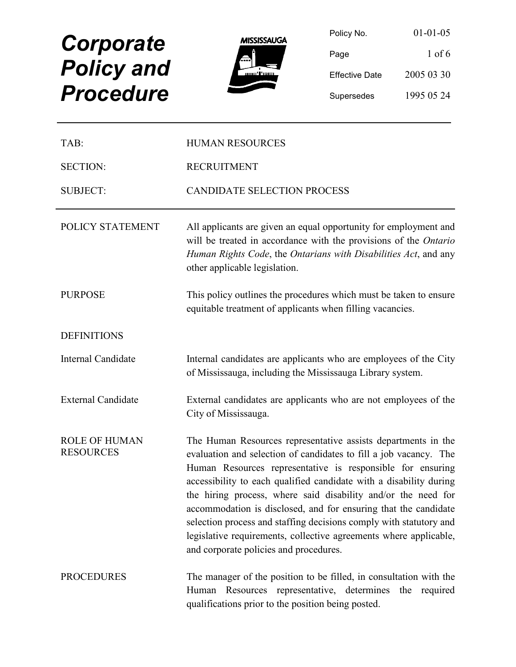# **Corporate** Policy and



| <b>Corporate</b>  | <b>MISSISSAUGA</b> | Policy No.            | $01 - 01 - 05$ |
|-------------------|--------------------|-----------------------|----------------|
|                   | Al J               | Page                  | $1$ of 6       |
| <b>Policy and</b> |                    | <b>Effective Date</b> | 2005 03 30     |
| <b>Procedure</b>  |                    | Supersedes            | 1995 05 24     |

| TAB:                                     | <b>HUMAN RESOURCES</b>                                                                                                                                                                                                                                                                                                                                                                                                                                                                                                                                                                          |  |
|------------------------------------------|-------------------------------------------------------------------------------------------------------------------------------------------------------------------------------------------------------------------------------------------------------------------------------------------------------------------------------------------------------------------------------------------------------------------------------------------------------------------------------------------------------------------------------------------------------------------------------------------------|--|
| <b>SECTION:</b>                          | <b>RECRUITMENT</b>                                                                                                                                                                                                                                                                                                                                                                                                                                                                                                                                                                              |  |
| <b>SUBJECT:</b>                          | <b>CANDIDATE SELECTION PROCESS</b>                                                                                                                                                                                                                                                                                                                                                                                                                                                                                                                                                              |  |
| POLICY STATEMENT                         | All applicants are given an equal opportunity for employment and<br>will be treated in accordance with the provisions of the Ontario<br>Human Rights Code, the Ontarians with Disabilities Act, and any<br>other applicable legislation.                                                                                                                                                                                                                                                                                                                                                        |  |
| <b>PURPOSE</b>                           | This policy outlines the procedures which must be taken to ensure<br>equitable treatment of applicants when filling vacancies.                                                                                                                                                                                                                                                                                                                                                                                                                                                                  |  |
| <b>DEFINITIONS</b>                       |                                                                                                                                                                                                                                                                                                                                                                                                                                                                                                                                                                                                 |  |
| Internal Candidate                       | Internal candidates are applicants who are employees of the City<br>of Mississauga, including the Mississauga Library system.                                                                                                                                                                                                                                                                                                                                                                                                                                                                   |  |
| <b>External Candidate</b>                | External candidates are applicants who are not employees of the<br>City of Mississauga.                                                                                                                                                                                                                                                                                                                                                                                                                                                                                                         |  |
| <b>ROLE OF HUMAN</b><br><b>RESOURCES</b> | The Human Resources representative assists departments in the<br>evaluation and selection of candidates to fill a job vacancy. The<br>Human Resources representative is responsible for ensuring<br>accessibility to each qualified candidate with a disability during<br>the hiring process, where said disability and/or the need for<br>accommodation is disclosed, and for ensuring that the candidate<br>selection process and staffing decisions comply with statutory and<br>legislative requirements, collective agreements where applicable,<br>and corporate policies and procedures. |  |
| <b>PROCEDURES</b>                        | The manager of the position to be filled, in consultation with the<br>Human Resources representative, determines the required<br>qualifications prior to the position being posted.                                                                                                                                                                                                                                                                                                                                                                                                             |  |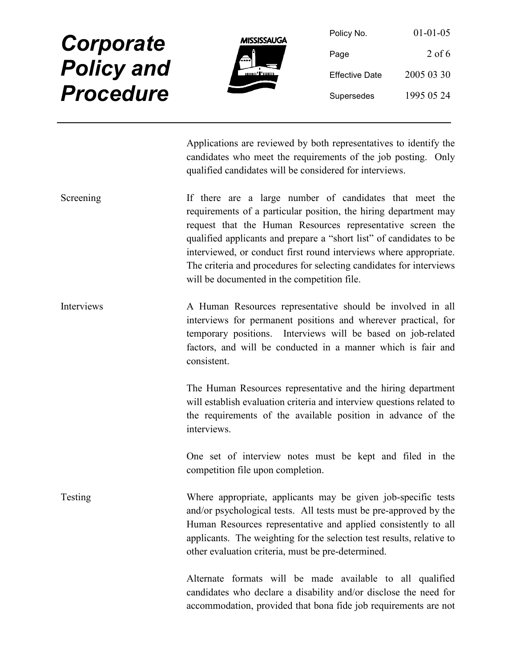

| Policy No.            | $01 - 01 - 05$ |
|-----------------------|----------------|
| Page                  | $2$ of 6       |
| <b>Effective Date</b> | 2005 03 30     |
| Supersedes            | 1995 05 24     |

Applications are reviewed by both representatives to identify the candidates who meet the requirements of the job posting. Only qualified candidates will be considered for interviews.

- Screening There are a large number of candidates that meet the requirements of a particular position, the hiring department may request that the Human Resources representative screen the qualified applicants and prepare a "short list" of candidates to be interviewed, or conduct first round interviews where appropriate. The criteria and procedures for selecting candidates for interviews will be documented in the competition file.
- Interviews A Human Resources representative should be involved in all interviews for permanent positions and wherever practical, for temporary positions. Interviews will be based on job-related factors, and will be conducted in a manner which is fair and consistent.

The Human Resources representative and the hiring department will establish evaluation criteria and interview questions related to the requirements of the available position in advance of the interviews.

One set of interview notes must be kept and filed in the competition file upon completion.

Testing Where appropriate, applicants may be given job-specific tests and/or psychological tests. All tests must be pre-approved by the Human Resources representative and applied consistently to all applicants. The weighting for the selection test results, relative to other evaluation criteria, must be pre-determined.

> Alternate formats will be made available to all qualified candidates who declare a disability and/or disclose the need for accommodation, provided that bona fide job requirements are not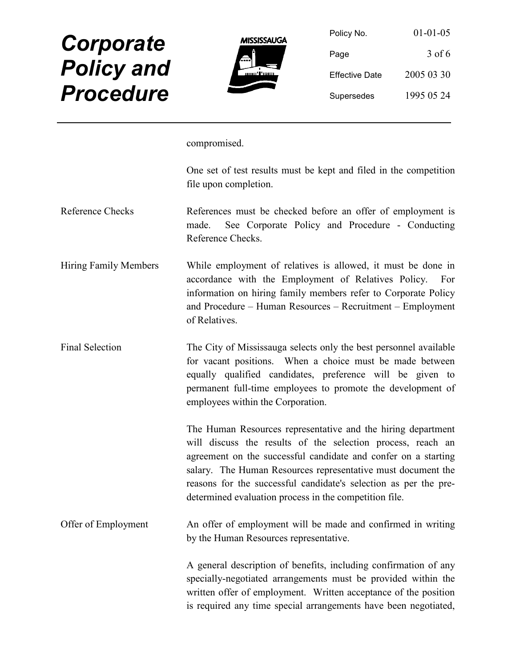

| Policy No.            | $01 - 01 - 05$ |
|-----------------------|----------------|
| Page                  | 3 of 6         |
| <b>Effective Date</b> | 2005 03 30     |
| Supersedes            | 1995 05 24     |

compromised.

One set of test results must be kept and filed in the competition file upon completion.

- Reference Checks References must be checked before an offer of employment is made. See Corporate Policy and Procedure - Conducting Reference Checks.
- Hiring Family Members While employment of relatives is allowed, it must be done in accordance with the Employment of Relatives Policy. For information on hiring family members refer to Corporate Policy and Procedure – Human Resources – Recruitment – Employment of Relatives.
- Final Selection The City of Mississauga selects only the best personnel available for vacant positions. When a choice must be made between equally qualified candidates, preference will be given to permanent full-time employees to promote the development of employees within the Corporation.

The Human Resources representative and the hiring department will discuss the results of the selection process, reach an agreement on the successful candidate and confer on a starting salary. The Human Resources representative must document the reasons for the successful candidate's selection as per the predetermined evaluation process in the competition file.

Offer of Employment An offer of employment will be made and confirmed in writing by the Human Resources representative.

> A general description of benefits, including confirmation of any specially-negotiated arrangements must be provided within the written offer of employment. Written acceptance of the position is required any time special arrangements have been negotiated,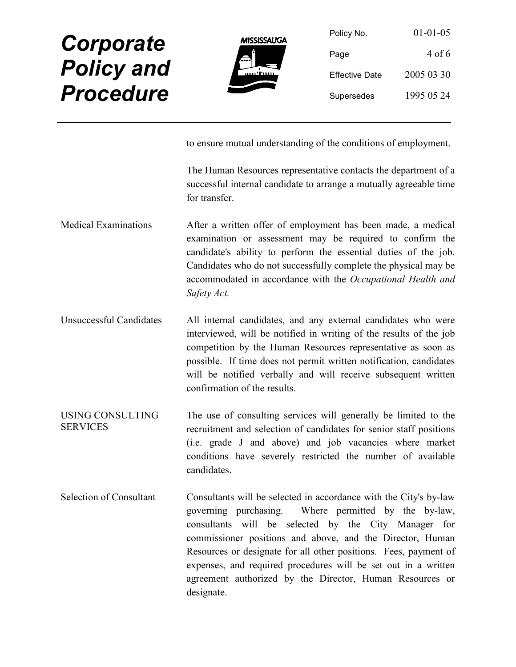

| Policy No.            | $01 - 01 - 05$ |
|-----------------------|----------------|
| Page                  | 4 of 6         |
| <b>Effective Date</b> | 2005 03 30     |
| Supersedes            | 1995 05 24     |

to ensure mutual understanding of the conditions of employment.

The Human Resources representative contacts the department of a successful internal candidate to arrange a mutually agreeable time for transfer.

- Medical Examinations After a written offer of employment has been made, a medical examination or assessment may be required to confirm the candidate's ability to perform the essential duties of the job. Candidates who do not successfully complete the physical may be accommodated in accordance with the Occupational Health and Safety Act.
- Unsuccessful Candidates All internal candidates, and any external candidates who were interviewed, will be notified in writing of the results of the job competition by the Human Resources representative as soon as possible. If time does not permit written notification, candidates will be notified verbally and will receive subsequent written confirmation of the results.
- USING CONSULTING **SERVICES** The use of consulting services will generally be limited to the recruitment and selection of candidates for senior staff positions (i.e. grade J and above) and job vacancies where market conditions have severely restricted the number of available candidates.
- Selection of Consultant Consultants will be selected in accordance with the City's by-law governing purchasing. Where permitted by the by-law, consultants will be selected by the City Manager for commissioner positions and above, and the Director, Human Resources or designate for all other positions. Fees, payment of expenses, and required procedures will be set out in a written agreement authorized by the Director, Human Resources or designate.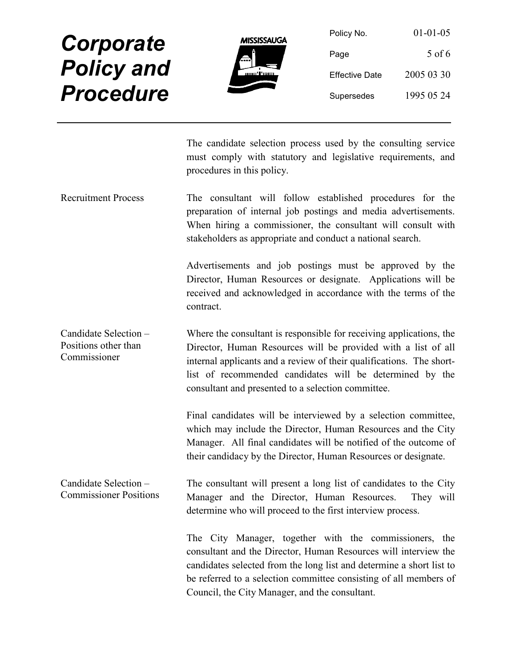

| Policy No.            | $01 - 01 - 05$ |
|-----------------------|----------------|
| Page                  | 5 of 6         |
| <b>Effective Date</b> | 2005 03 30     |
| Supersedes            | 1995 05 24     |

The candidate selection process used by the consulting service must comply with statutory and legislative requirements, and procedures in this policy.

Recruitment Process The consultant will follow established procedures for the preparation of internal job postings and media advertisements. When hiring a commissioner, the consultant will consult with stakeholders as appropriate and conduct a national search.

> Advertisements and job postings must be approved by the Director, Human Resources or designate. Applications will be received and acknowledged in accordance with the terms of the contract.

Candidate Selection – Positions other than Commissioner Where the consultant is responsible for receiving applications, the Director, Human Resources will be provided with a list of all internal applicants and a review of their qualifications. The shortlist of recommended candidates will be determined by the consultant and presented to a selection committee.

> Final candidates will be interviewed by a selection committee, which may include the Director, Human Resources and the City Manager. All final candidates will be notified of the outcome of their candidacy by the Director, Human Resources or designate.

Candidate Selection – Commissioner Positions The consultant will present a long list of candidates to the City Manager and the Director, Human Resources. They will determine who will proceed to the first interview process.

> The City Manager, together with the commissioners, the consultant and the Director, Human Resources will interview the candidates selected from the long list and determine a short list to be referred to a selection committee consisting of all members of Council, the City Manager, and the consultant.